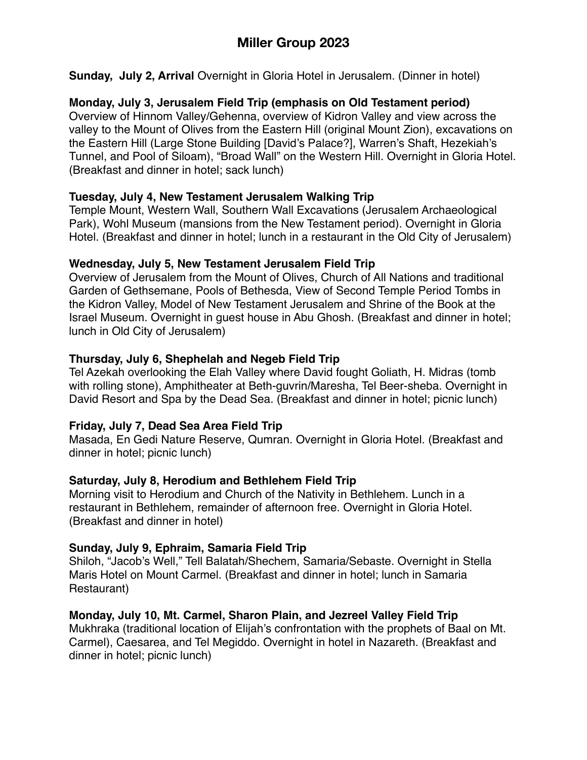**Sunday, July 2, Arrival** Overnight in Gloria Hotel in Jerusalem. (Dinner in hotel)

# **Monday, July 3, Jerusalem Field Trip (emphasis on Old Testament period)**

Overview of Hinnom Valley/Gehenna, overview of Kidron Valley and view across the valley to the Mount of Olives from the Eastern Hill (original Mount Zion), excavations on the Eastern Hill (Large Stone Building [David's Palace?], Warren's Shaft, Hezekiah's Tunnel, and Pool of Siloam), "Broad Wall" on the Western Hill. Overnight in Gloria Hotel. (Breakfast and dinner in hotel; sack lunch)

# **Tuesday, July 4, New Testament Jerusalem Walking Trip**

Temple Mount, Western Wall, Southern Wall Excavations (Jerusalem Archaeological Park), Wohl Museum (mansions from the New Testament period). Overnight in Gloria Hotel. (Breakfast and dinner in hotel; lunch in a restaurant in the Old City of Jerusalem)

## **Wednesday, July 5, New Testament Jerusalem Field Trip**

Overview of Jerusalem from the Mount of Olives, Church of All Nations and traditional Garden of Gethsemane, Pools of Bethesda, View of Second Temple Period Tombs in the Kidron Valley, Model of New Testament Jerusalem and Shrine of the Book at the Israel Museum. Overnight in guest house in Abu Ghosh. (Breakfast and dinner in hotel; lunch in Old City of Jerusalem)

# **Thursday, July 6, Shephelah and Negeb Field Trip**

Tel Azekah overlooking the Elah Valley where David fought Goliath, H. Midras (tomb with rolling stone), Amphitheater at Beth-guvrin/Maresha, Tel Beer-sheba. Overnight in David Resort and Spa by the Dead Sea. (Breakfast and dinner in hotel; picnic lunch)

# **Friday, July 7, Dead Sea Area Field Trip**

Masada, En Gedi Nature Reserve, Qumran. Overnight in Gloria Hotel. (Breakfast and dinner in hotel; picnic lunch)

# **Saturday, July 8, Herodium and Bethlehem Field Trip**

Morning visit to Herodium and Church of the Nativity in Bethlehem. Lunch in a restaurant in Bethlehem, remainder of afternoon free. Overnight in Gloria Hotel. (Breakfast and dinner in hotel)

# **Sunday, July 9, Ephraim, Samaria Field Trip**

Shiloh, "Jacob's Well," Tell Balatah/Shechem, Samaria/Sebaste. Overnight in Stella Maris Hotel on Mount Carmel. (Breakfast and dinner in hotel; lunch in Samaria Restaurant)

# **Monday, July 10, Mt. Carmel, Sharon Plain, and Jezreel Valley Field Trip**

Mukhraka (traditional location of Elijah's confrontation with the prophets of Baal on Mt. Carmel), Caesarea, and Tel Megiddo. Overnight in hotel in Nazareth. (Breakfast and dinner in hotel; picnic lunch)